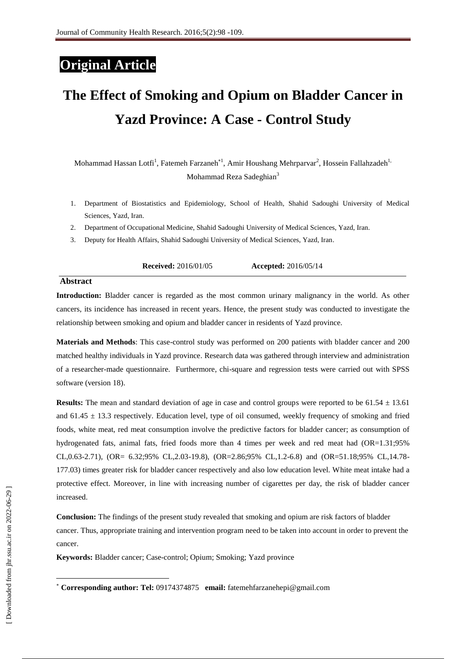# **Original Article**

# **The Effect of Smoking and Opium on Bladder Cancer in Yazd Province: A Case - Control Study**

Mohammad Hassan Lotfi<sup>1</sup>, Fatemeh Farzaneh<sup>\*1</sup>, Amir Houshang Mehrparvar<sup>2</sup>, Hossein Fallahzadeh<sup>1,</sup> Mohammad Reza Sadeghian<sup>3</sup>

- 1. Department of Biostatistics and Epidemiology, School of Health, Shahid Sadoughi University of Medical Sciences, Yazd, Iran.
- 2. Department of Occupational Medicine, Shahid Sadoughi University of Medical Sciences, Yazd, Iran.
- 3. Deputy for Health Affairs, Shahid Sadoughi University of Medical Sciences, Yazd, Iran.

#### **Abstract**

**Introduction:** Bladder cancer is regarded as the most common urinary malignancy in the world. As other cancers, its incidence has increased in recent years. Hence, the present study was conducted to investigate the relationship between smoking and opium and bladder cancer in residents of Yazd province.

**Materials and Methods**: This case-control study was performed on 200 patients with bladder cancer and 200 matched healthy individuals in Yazd province. Research data was gathered through interview and administration of a researcher-made questionnaire. Furthermore, chi-square and regression tests were carried out with SPSS software (version 18).

**Results:** The mean and standard deviation of age in case and control groups were reported to be 61.54 ± 13.61 and  $61.45 \pm 13.3$  respectively. Education level, type of oil consumed, weekly frequency of smoking and fried foods, white meat, red meat consumption involve the predictive factors for bladder cancer; as consumption of hydrogenated fats, animal fats, fried foods more than 4 times per week and red meat had (OR=1.31;95%) CL,0.63-2.71), (OR= 6.32;95% CL,2.03-19.8), (OR=2.86;95% CL,1.2-6.8) and (OR=51.18;95% CL,14.78- 177.03) times greater risk for bladder cancer respectively and also low education level. White meat intake had a protective effect. Moreover, in line with increasing number of cigarettes per day, the risk of bladder cancer increased.

**Conclusion:** The findings of the present study revealed that smoking and opium are risk factors of bladder cancer. Thus, appropriate training and intervention program need to be taken into account in order to prevent the cancer.

**Keywords:** Bladder cancer; Case-control; Opium; Smoking; Yazd province

**.** 

**Corresponding author: Tel:** 09174374875 **email:** fatemehfarzanehepi@gmail.com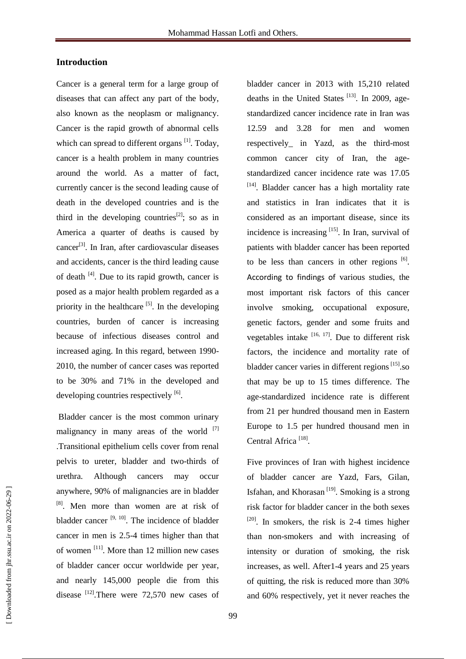# **Introduction**

Cancer is a general term for a large group of diseases that can affect any part of the body, also known as the neoplasm or malignancy. Cancer is the rapid growth of abnormal cells which can spread to different organs  $\left[1\right]$ . Today, cancer is a health problem in many countries around the world. As a matter of fact, currently cancer is the second leading cause of death in the developed countries and is the third in the developing countries<sup>[2]</sup>; so as in America a quarter of deaths is caused by  $cancer^{[3]}$ . In Iran, after cardiovascular diseases and accidents, cancer is the third leading cause of death  $[4]$ . Due to its rapid growth, cancer is posed as a major health problem regarded as a priority in the healthcare  $[5]$ . In the developing countries, burden of cancer is increasing because of infectious diseases control and increased aging. In this regard, between 1990- 2010, the number of cancer cases was reported to be 30% and 71% in the developed and developing countries respectively  $[6]$ .

Bladder cancer is the most common urinary malignancy in many areas of the world  $[7]$ .Transitional epithelium cells cover from renal pelvis to ureter, bladder and two-thirds of urethra. Although cancers may occur anywhere, 90% of malignancies are in bladder [8]. Men more than women are at risk of bladder cancer  $[9, 10]$ . The incidence of bladder cancer in men is 2.5-4 times higher than that of women<sup>[11]</sup>. More than 12 million new cases of bladder cancer occur worldwide per year, and nearly 145,000 people die from this disease  $^{[12]}$ . There were 72,570 new cases of

bladder cancer in 2013 with 15,210 related deaths in the United States  $^{[13]}$ . In 2009, agestandardized cancer incidence rate in Iran was 12.59 and 3.28 for men and women respectively\_ in Yazd, as the third-most common cancer city of Iran, the agestandardized cancer incidence rate was 17.05 [14]. Bladder cancer has a high mortality rate and statistics in Iran indicates that it is considered as an important disease, since its incidence is increasing  $[15]$ . In Iran, survival of patients with bladder cancer has been reported to be less than cancers in other regions  $[6]$ . According to findings of various studies, the most important risk factors of this cancer involve smoking, occupational exposure, genetic factors, gender and some fruits and vegetables intake  $[16, 17]$ . Due to different risk factors, the incidence and mortality rate of bladder cancer varies in different regions<sup>[15]</sup>.so that may be up to 15 times difference. The age-standardized incidence rate is different from 21 per hundred thousand men in Eastern Europe to 1.5 per hundred thousand men in Central Africa<sup>[18]</sup>.

Five provinces of Iran with highest incidence of bladder cancer are Yazd, Fars, Gilan, Isfahan, and Khorasan<sup>[19]</sup>. Smoking is a strong risk factor for bladder cancer in the both sexes  $[20]$ . In smokers, the risk is 2-4 times higher than non-smokers and with increasing of intensity or duration of smoking, the risk increases, as well. After1-4 years and 25 years of quitting, the risk is reduced more than 30% and 60% respectively, yet it never reaches the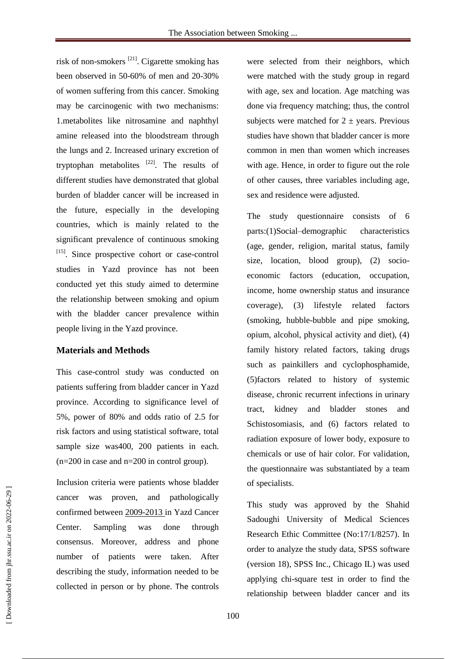risk of non-smokers [21]. Cigarette smoking has been observed in 50-60% of men and 20-30% of women suffering from this cancer. Smoking may be carcinogenic with two mechanisms: 1.metabolites like nitrosamine and naphthyl amine released into the bloodstream through the lungs and 2. Increased urinary excretion of tryptophan metabolites  $[22]$ . The results of different studies have demonstrated that global burden of bladder cancer will be increased in the future, especially in the developing countries, which is mainly related to the significant prevalence of continuous smoking  $[15]$ . Since prospective cohort or case-control studies in Yazd province has not been conducted yet this study aimed to determine the relationship between smoking and opium with the bladder cancer prevalence within people living in the Yazd province.

#### **Materials and Methods**

This case-control study was conducted on patients suffering from bladder cancer in Yazd province. According to significance level of 5%, power of 80% and odds ratio of 2.5 for risk factors and using statistical software, total sample size was400, 200 patients in each. (n=200 in case and n=200 in control group).

Inclusion criteria were patients whose bladder cancer was proven, and pathologically confirmed between 2009-2013 in Yazd Cancer Center. Sampling was done through consensus. Moreover, address and phone number of patients were taken. After describing the study, information needed to be collected in person or by phone. The controls were selected from their neighbors, which were matched with the study group in regard with age, sex and location. Age matching was done via frequency matching; thus, the control subjects were matched for  $2 \pm \text{years}$ . Previous studies have shown that bladder cancer is more common in men than women which increases with age. Hence, in order to figure out the role of other causes, three variables including age, sex and residence were adjusted.

The study questionnaire consists of 6 parts:(1)Social–demographic characteristics (age, gender, religion, marital status, family size, location, blood group), (2) socioeconomic factors (education, occupation, income, home ownership status and insurance coverage), (3) lifestyle related factors (smoking, hubble-bubble and pipe smoking, opium, alcohol, physical activity and diet), (4) family history related factors, taking drugs such as painkillers and cyclophosphamide, (5)factors related to history of systemic disease, chronic recurrent infections in urinary tract, kidney and bladder stones and Schistosomiasis, and (6) factors related to radiation exposure of lower body, exposure to chemicals or use of hair color. For validation, the questionnaire was substantiated by a team of specialists.

This study was approved by the Shahid Sadoughi University of Medical Sciences Research Ethic Committee (No:17/1/8257). In order to analyze the study data, SPSS software (version 18), SPSS Inc., Chicago IL) was used applying chi-square test in order to find the relationship between bladder cancer and its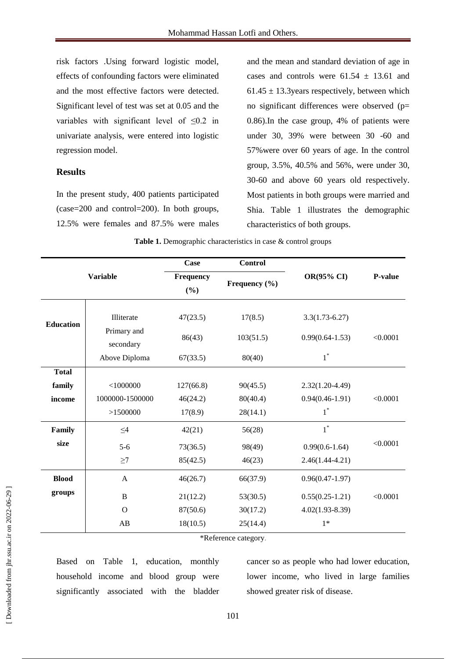risk factors .Using forward logistic model, effects of confounding factors were eliminated and the most effective factors were detected. Significant level of test was set at 0.05 and the variables with significant level of  $\leq 0.2$  in univariate analysis, were entered into logistic regression model.

## **Results**

In the present study, 400 patients participated (case=200 and control=200). In both groups, 12.5% were females and 87.5% were males

and the mean and standard deviation of age in cases and controls were  $61.54 \pm 13.61$  and  $61.45 \pm 13.3$ years respectively, between which no significant differences were observed (p= 0.86).In the case group, 4% of patients were under 30, 39% were between 30 -60 and 57%were over 60 years of age. In the control group, 3.5%, 40.5% and 56%, were under 30, 30-60 and above 60 years old respectively. Most patients in both groups were married and Shia. Table 1 illustrates the demographic characteristics of both groups.

| <b>Variable</b>  |                          | <b>Case</b>         | <b>Control</b>    | OR(95% CI)          | P-value  |
|------------------|--------------------------|---------------------|-------------------|---------------------|----------|
|                  |                          | Frequency<br>$(\%)$ | Frequency $(\% )$ |                     |          |
|                  |                          |                     |                   |                     |          |
| <b>Education</b> | Illiterate               | 47(23.5)            | 17(8.5)           | $3.3(1.73-6.27)$    | < 0.0001 |
|                  | Primary and<br>secondary | 86(43)              | 103(51.5)         | $0.99(0.64 - 1.53)$ |          |
|                  | Above Diploma            | 67(33.5)            | 80(40)            | $1^*$               |          |
| <b>Total</b>     |                          |                     |                   |                     |          |
| family           | $<$ 1000000              | 127(66.8)           | 90(45.5)          | $2.32(1.20-4.49)$   |          |
| income           | 1000000-1500000          | 46(24.2)            | 80(40.4)          | $0.94(0.46 - 1.91)$ | < 0.0001 |
|                  | >1500000                 | 17(8.9)             | 28(14.1)          | $1^*$               |          |
| Family           | $\leq4$                  | 42(21)              | 56(28)            | $1^*$               |          |
| size             | $5-6$                    | 73(36.5)            | 98(49)            | $0.99(0.6 - 1.64)$  | < 0.0001 |
|                  | $\geq$ 7                 | 85(42.5)            | 46(23)            | $2.46(1.44 - 4.21)$ |          |
| <b>Blood</b>     | A                        | 46(26.7)            | 66(37.9)          | $0.96(0.47-1.97)$   |          |
| groups           | $\bf{B}$                 | 21(12.2)            | 53(30.5)          | $0.55(0.25-1.21)$   | < 0.0001 |
|                  | $\Omega$                 | 87(50.6)            | 30(17.2)          | $4.02(1.93 - 8.39)$ |          |
|                  | AB                       | 18(10.5)            | 25(14.4)          | $1*$                |          |

**Table 1.** Demographic characteristics in case & control groups

\*Reference category.

Based on Table 1, education, monthly household income and blood group were significantly associated with the bladder cancer so as people who had lower education, lower income, who lived in large families showed greater risk of disease.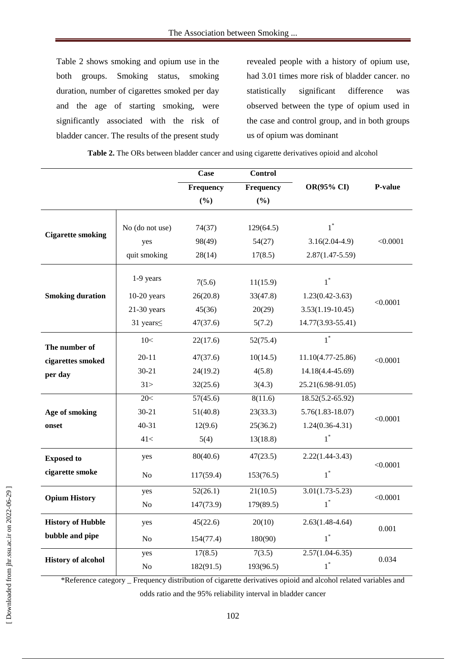Table 2 shows smoking and opium use in the both groups. Smoking status, smoking duration, number of cigarettes smoked per day and the age of starting smoking, were significantly associated with the risk of bladder cancer. The results of the present study

revealed people with a history of opium use, had 3.01 times more risk of bladder cancer. no statistically significant difference was observed between the type of opium used in the case and control group, and in both groups us of opium was dominant

**Case Control Frequency OR(95% CI) P-value (%) Frequency (%) Cigarette smoking** No (do not use) 74(37) 129(64.5)  $1^*$ yes 98(49) 54(27) 3.16(2.04-4.9) <0.0001 quit smoking 28(14) 17(8.5) 2.87(1.47-5.59) **Smoking duration** 1-9 years  $7(5.6)$  11(15.9) \* <0.0001 10-20 years 26(20.8) 33(47.8) 1.23(0.42-3.63) 21-30 years 45(36) 20(29) 3.53(1.19-10.45) 31 years≤ 47(37.6) 5(7.2) 14.77(3.93-55.41) **The number of cigarettes smoked per day**  $10<$  22(17.6) 52(75.4)  $1^*$ 20-11  $47(37.6)$   $10(14.5)$   $11.10(4.77-25.86)$   $\leq 0.0001$ 30-21 24(19.2) 4(5.8) 14.18(4.4-45.69)  $31 > 32(25.6)$   $3(4.3)$   $25.21(6.98-91.05)$ **Age of smoking onset** 20 \ 57(45.6) 8(11.6) 18.52(5.2-65.92) <0.0001 30-21 51(40.8) 23(33.3) 5.76(1.83-18.07) 40-31 12(9.6) 25(36.2) 1.24(0.36-4.31) 41< 5(4) 13(18.8) 1 \* **Exposed to cigarette smoke** yes 80(40.6) 47(23.5) 2.22(1.44-3.43) <0.0001 No  $117(59.4)$   $153(76.5)$ \* **Opium History** yes  $52(26.1)$   $21(10.5)$   $3.01(1.73-5.23)$ <0.0001 No  $147(73.9)$  179(89.5)  $1^*$ **History of Hubble bubble and pipe** yes  $45(22.6)$   $20(10)$   $2.63(1.48-4.64)$ 0.001 No  $154(77.4)$   $180(90)$  $1^*$ **History of alcohol** yes  $17(8.5)$   $7(3.5)$   $2.57(1.04-6.35)$ 0.034 No  $182(91.5)$  193(96.5)  $1^*$ 

**Table 2.** The ORs between bladder cancer and using cigarette derivatives opioid and alcohol

\*Reference category \_ Frequency distribution of cigarette derivatives opioid and alcohol related variables and

odds ratio and the 95% reliability interval in bladder cancer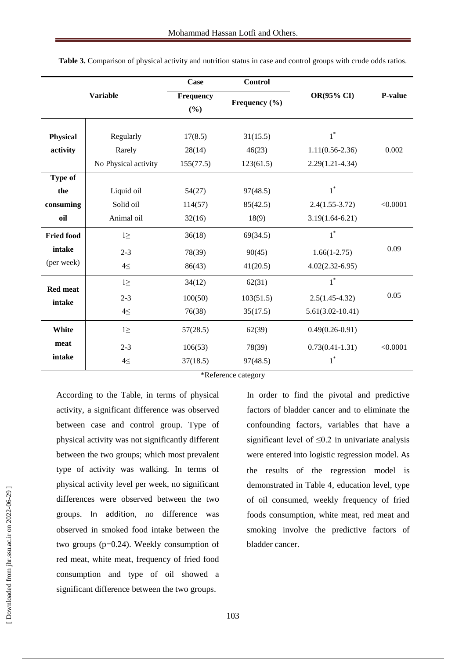| <b>Variable</b>                           |                                             | Case                            | <b>Control</b>                  |                                                     |          |
|-------------------------------------------|---------------------------------------------|---------------------------------|---------------------------------|-----------------------------------------------------|----------|
|                                           |                                             | Frequency<br>(%)                | Frequency (%)                   | OR(95% CI)                                          | P-value  |
| <b>Physical</b><br>activity               | Regularly<br>Rarely<br>No Physical activity | 17(8.5)<br>28(14)<br>155(77.5)  | 31(15.5)<br>46(23)<br>123(61.5) | $1^*$<br>$1.11(0.56 - 2.36)$<br>$2.29(1.21 - 4.34)$ | 0.002    |
| <b>Type of</b><br>the<br>consuming<br>oil | Liquid oil<br>Solid oil<br>Animal oil       | 54(27)<br>114(57)<br>32(16)     | 97(48.5)<br>85(42.5)<br>18(9)   | $1^*$<br>$2.4(1.55-3.72)$<br>$3.19(1.64-6.21)$      | < 0.0001 |
| <b>Fried food</b><br>intake<br>(per week) | $l \geq$<br>$2 - 3$<br>$4 \leq$             | 36(18)<br>78(39)<br>86(43)      | 69(34.5)<br>90(45)<br>41(20.5)  | $1^*$<br>$1.66(1-2.75)$<br>$4.02(2.32 - 6.95)$      | 0.09     |
| <b>Red meat</b><br>intake                 | $l \geq$<br>$2 - 3$<br>$4 \leq$             | 34(12)<br>100(50)<br>76(38)     | 62(31)<br>103(51.5)<br>35(17.5) | $1^*$<br>$2.5(1.45-4.32)$<br>$5.61(3.02 - 10.41)$   | 0.05     |
| White<br>meat<br>intake                   | $1\geq$<br>$2 - 3$<br>$4 \leq$              | 57(28.5)<br>106(53)<br>37(18.5) | 62(39)<br>78(39)<br>97(48.5)    | $0.49(0.26 - 0.91)$<br>$0.73(0.41 - 1.31)$<br>$1^*$ | < 0.0001 |

**Table 3.** Comparison of physical activity and nutrition status in case and control groups with crude odds ratios.

\*Reference category

According to the Table, in terms of physical activity, a significant difference was observed between case and control group. Type of physical activity was not significantly different between the two groups; which most prevalent type of activity was walking. In terms of physical activity level per week, no significant differences were observed between the two groups. In addition, no difference was observed in smoked food intake between the two groups (p=0.24). Weekly consumption of red meat, white meat, frequency of fried food consumption and type of oil showed a significant difference between the two groups.

In order to find the pivotal and predictive factors of bladder cancer and to eliminate the confounding factors, variables that have a significant level of  $\leq 0.2$  in univariate analysis were entered into logistic regression model. As the results of the regression model is demonstrated in Table 4, education level, type of oil consumed, weekly frequency of fried foods consumption, white meat, red meat and smoking involve the predictive factors of bladder cancer.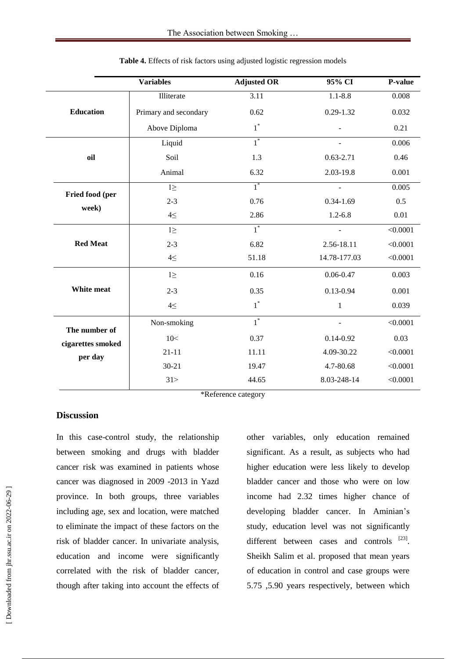|                   | <b>Variables</b>      | <b>Adjusted OR</b> | 95% CI         | P-value  |
|-------------------|-----------------------|--------------------|----------------|----------|
|                   | Illiterate            | 3.11               | $1.1 - 8.8$    | 0.008    |
| <b>Education</b>  | Primary and secondary | 0.62               | $0.29 - 1.32$  | 0.032    |
|                   | Above Diploma         | $1^*$              |                | 0.21     |
|                   | Liquid                | $1^*$              |                | 0.006    |
| oil               | Soil                  | 1.3                | $0.63 - 2.71$  | 0.46     |
|                   | Animal                | 6.32               | 2.03-19.8      | 0.001    |
| Fried food (per   | $1 \geq$              | $1^*$              |                | 0.005    |
| week)             | $2 - 3$               | 0.76               | $0.34 - 1.69$  | 0.5      |
|                   | $4 \leq$              | 2.86               | $1.2 - 6.8$    | 0.01     |
|                   | $1 \geq$              | $1^*$              |                | < 0.0001 |
| <b>Red Meat</b>   | $2 - 3$               | 6.82               | 2.56-18.11     | < 0.0001 |
|                   | $4 \leq$              | 51.18              | 14.78-177.03   | < 0.0001 |
|                   | $l \geq$              | 0.16               | $0.06 - 0.47$  | 0.003    |
| White meat        | $2 - 3$               | 0.35               | $0.13 - 0.94$  | 0.001    |
|                   | $4 \leq$              | $1^*$              | $\mathbf{1}$   | 0.039    |
| The number of     | Non-smoking           | $\overline{1}^*$   | $\overline{a}$ | < 0.0001 |
| cigarettes smoked | 10<                   | 0.37               | $0.14 - 0.92$  | 0.03     |
| per day           | $21 - 11$             | 11.11              | 4.09-30.22     | < 0.0001 |
|                   | $30 - 21$             | 19.47              | 4.7-80.68      | < 0.0001 |
|                   | 31 >                  | 44.65              | 8.03-248-14    | < 0.0001 |

**Table 4.** Effects of risk factors using adjusted logistic regression models

\*Reference category

# **Discussion**

In this case-control study, the relationship between smoking and drugs with bladder cancer risk was examined in patients whose cancer was diagnosed in 2009 -2013 in Yazd province. In both groups, three variables including age, sex and location, were matched to eliminate the impact of these factors on the risk of bladder cancer. In univariate analysis, education and income were significantly correlated with the risk of bladder cancer, though after taking into account the effects of other variables, only education remained significant. As a result, as subjects who had higher education were less likely to develop bladder cancer and those who were on low income had 2.32 times higher chance of developing bladder cancer. In Aminian's study, education level was not significantly different between cases and controls [23]. Sheikh Salim et al. proposed that mean years of education in control and case groups were 5.75 ,5.90 years respectively, between which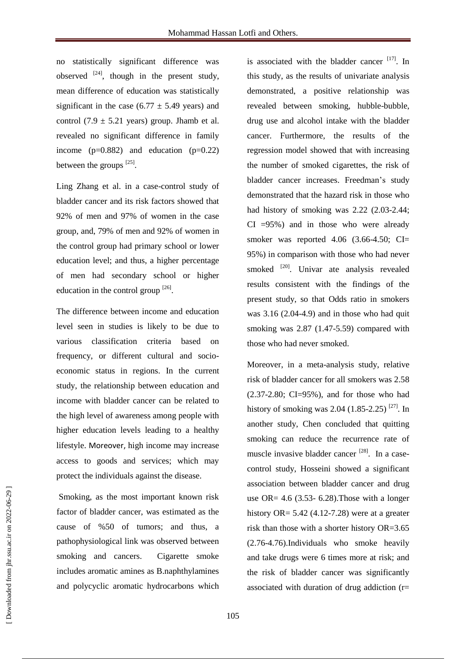no statistically significant difference was observed  $[24]$ , though in the present study, mean difference of education was statistically significant in the case  $(6.77 \pm 5.49 \text{ years})$  and control (7.9  $\pm$  5.21 years) group. Jhamb et al. revealed no significant difference in family income  $(p=0.882)$  and education  $(p=0.22)$ between the groups  $^{[25]}$ .

Ling Zhang et al. in a case-control study of bladder cancer and its risk factors showed that 92% of men and 97% of women in the case group, and, 79% of men and 92% of women in the control group had primary school or lower education level; and thus, a higher percentage of men had secondary school or higher education in the control group  $^{[26]}$ .

The difference between income and education level seen in studies is likely to be due to various classification criteria based on frequency, or different cultural and socioeconomic status in regions. In the current study, the relationship between education and income with bladder cancer can be related to the high level of awareness among people with higher education levels leading to a healthy lifestyle. Moreover, high income may increase access to goods and services; which may protect the individuals against the disease.

Smoking, as the most important known risk factor of bladder cancer, was estimated as the cause of %50 of tumors; and thus, a pathophysiological link was observed between smoking and cancers. Cigarette smoke includes aromatic amines as B.naphthylamines and polycyclic aromatic hydrocarbons which is associated with the bladder cancer  $[17]$ . In this study, as the results of univariate analysis demonstrated, a positive relationship was revealed between smoking, hubble-bubble, drug use and alcohol intake with the bladder cancer. Furthermore, the results of the regression model showed that with increasing the number of smoked cigarettes, the risk of bladder cancer increases. Freedman's study demonstrated that the hazard risk in those who had history of smoking was 2.22 (2.03-2.44;  $CI = 95\%$ ) and in those who were already smoker was reported  $4.06$   $(3.66-4.50;$  CI= 95%) in comparison with those who had never smoked <sup>[20]</sup>. Univar ate analysis revealed results consistent with the findings of the present study, so that Odds ratio in smokers was  $3.16$   $(2.04-4.9)$  and in those who had quit smoking was 2.87 (1.47-5.59) compared with those who had never smoked.

Moreover, in a meta-analysis study, relative risk of bladder cancer for all smokers was 2.58  $(2.37-2.80; CI=95%)$ , and for those who had history of smoking was 2.04  $(1.85 - 2.25)$ <sup>[27]</sup>. In another study, Chen concluded that quitting smoking can reduce the recurrence rate of muscle invasive bladder cancer  $^{[28]}$ . In a casecontrol study, Hosseini showed a significant association between bladder cancer and drug use OR=  $4.6$  (3.53- 6.28). Those with a longer history OR=  $5.42$  (4.12-7.28) were at a greater risk than those with a shorter history OR=3.65 (2.76-4.76).Individuals who smoke heavily and take drugs were 6 times more at risk; and the risk of bladder cancer was significantly associated with duration of drug addiction (r=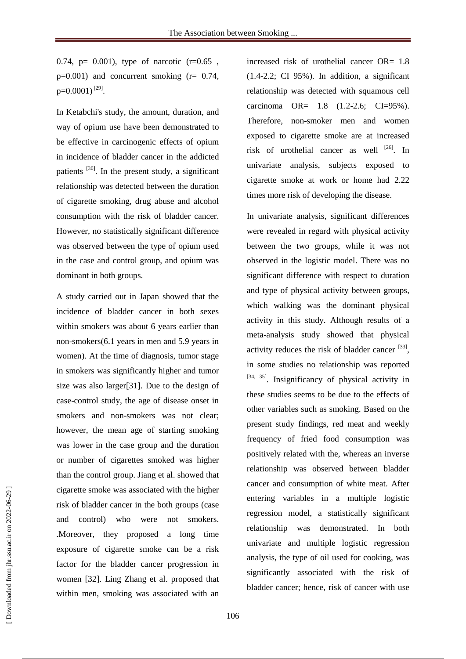0.74,  $p = 0.001$ , type of narcotic  $(r=0.65$ ,  $p=0.001$ ) and concurrent smoking ( $r= 0.74$ ,  $p=0.0001$ )<sup>[29]</sup>.

In Ketabchi's study, the amount, duration, and way of opium use have been demonstrated to be effective in carcinogenic effects of opium in incidence of bladder cancer in the addicted patients <sup>[30]</sup>. In the present study, a significant relationship was detected between the duration of cigarette smoking, drug abuse and alcohol consumption with the risk of bladder cancer. However, no statistically significant difference was observed between the type of opium used in the case and control group, and opium was dominant in both groups.

A study carried out in Japan showed that the incidence of bladder cancer in both sexes within smokers was about 6 years earlier than non-smokers(6.1 years in men and 5.9 years in women). At the time of diagnosis, tumor stage in smokers was significantly higher and tumor size was also larger[31]. Due to the design of case-control study, the age of disease onset in smokers and non-smokers was not clear; however, the mean age of starting smoking was lower in the case group and the duration or number of cigarettes smoked was higher than the control group. Jiang et al. showed that cigarette smoke was associated with the higher risk of bladder cancer in the both groups (case and control) who were not smokers. .Moreover, they proposed a long time exposure of cigarette smoke can be a risk factor for the bladder cancer progression in women [32]. Ling Zhang et al. proposed that within men, smoking was associated with an

increased risk of urothelial cancer OR= 1.8  $(1.4-2.2; \text{CI } 95\%)$ . In addition, a significant relationship was detected with squamous cell carcinoma OR= 1.8 (1.2-2.6; CI=95%). Therefore, non-smoker men and women exposed to cigarette smoke are at increased risk of urothelial cancer as well  $^{[26]}$ . In univariate analysis, subjects exposed to cigarette smoke at work or home had 2.22 times more risk of developing the disease.

In univariate analysis, significant differences were revealed in regard with physical activity between the two groups, while it was not observed in the logistic model. There was no significant difference with respect to duration and type of physical activity between groups, which walking was the dominant physical activity in this study. Although results of a meta-analysis study showed that physical activity reduces the risk of bladder cancer  $[33]$ , in some studies no relationship was reported [34, 35]. Insignificancy of physical activity in these studies seems to be due to the effects of other variables such as smoking. Based on the present study findings, red meat and weekly frequency of fried food consumption was positively related with the, whereas an inverse relationship was observed between bladder cancer and consumption of white meat. After entering variables in a multiple logistic regression model, a statistically significant relationship was demonstrated. In both univariate and multiple logistic regression analysis, the type of oil used for cooking, was significantly associated with the risk of bladder cancer; hence, risk of cancer with use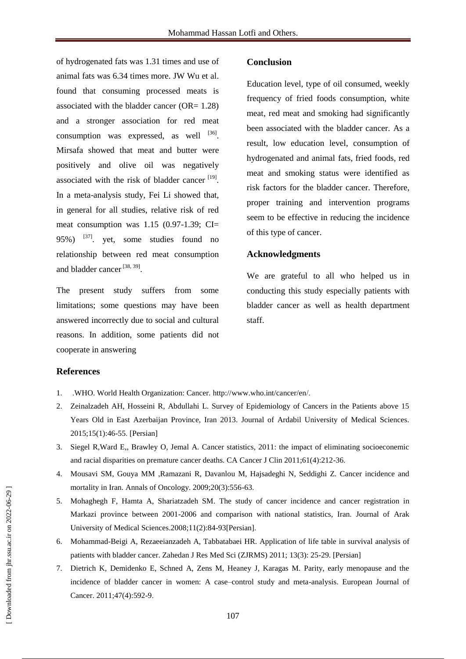of hydrogenated fats was 1.31 times and use of animal fats was 6.34 times more. JW Wu et al. found that consuming processed meats is associated with the bladder cancer (OR= 1.28) and a stronger association for red meat consumption was expressed, as well  $^{[36]}$ . Mirsafa showed that meat and butter were positively and olive oil was negatively associated with the risk of bladder cancer  $[19]$ . In a meta-analysis study, Fei Li showed that, in general for all studies, relative risk of red meat consumption was 1.15 (0.97-1.39; CI= 95%)  $^{[37]}$ . yet, some studies found no relationship between red meat consumption and bladder cancer<sup>[38, 39]</sup>.

The present study suffers from some limitations; some questions may have been answered incorrectly due to social and cultural reasons. In addition, some patients did not cooperate in answering

#### **Conclusion**

Education level, type of oil consumed, weekly frequency of fried foods consumption, white meat, red meat and smoking had significantly been associated with the bladder cancer. As a result, low education level, consumption of hydrogenated and animal fats, fried foods, red meat and smoking status were identified as risk factors for the bladder cancer. Therefore, proper training and intervention programs seem to be effective in reducing the incidence of this type of cancer.

## **Acknowledgments**

We are grateful to all who helped us in conducting this study especially patients with bladder cancer as well as health department staff.

#### **References**

- 1. .WHO. World Health Organization: Cancer. [http://www.who.int/cancer/en/.](http://www.who.int/cancer/en/)
- 2. Zeinalzadeh AH, Hosseini R, Abdullahi L. Survey of Epidemiology of Cancers in the Patients above 15 Years Old in East Azerbaijan Province, Iran 2013. Journal of Ardabil University of Medical Sciences. 2015;15(1):46-55. [Persian]
- 3. Siegel R,Ward E,, Brawley O, Jemal A. Cancer statistics, 2011: the impact of eliminating socioeconemic and racial disparities on premature cancer deaths. CA Cancer J Clin 2011;61(4):212-36.
- 4. Mousavi SM, Gouya MM ,Ramazani R, Davanlou M, Hajsadeghi N, Seddighi Z. Cancer incidence and mortality in Iran. Annals of Oncology. 2009;20(3):556-63.
- 5. Mohaghegh F, Hamta A, Shariatzadeh SM. The study of cancer incidence and cancer registration in Markazi province between 2001-2006 and comparison with national statistics, Iran. Journal of Arak University of Medical Sciences.2008;11(2):84-93[Persian].
- 6. Mohammad-Beigi A, Rezaeeianzadeh A, Tabbatabaei HR. Application of life table in survival analysis of patients with bladder cancer. Zahedan J Res Med Sci (ZJRMS) 2011; 13(3): 25-29. [Persian]
- 7. Dietrich K, Demidenko E, Schned A, Zens M, Heaney J, Karagas M. Parity, early menopause and the incidence of bladder cancer in women: A case–control study and meta-analysis. European Journal of Cancer. 2011;47(4):592-9.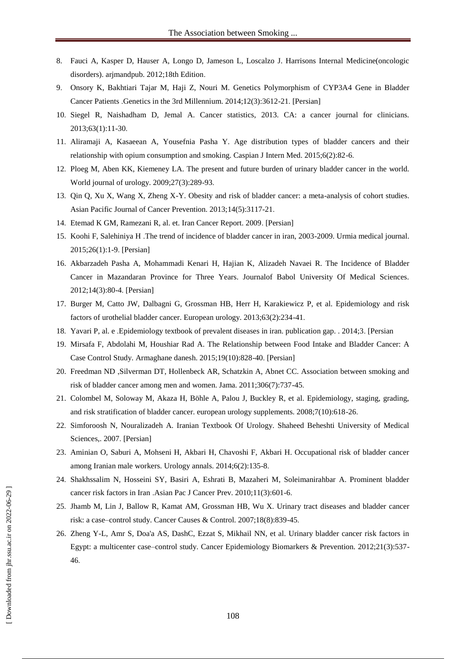- 8. Fauci A, Kasper D, Hauser A, Longo D, Jameson L, Loscalzo J. Harrisons Internal Medicine(oncologic disorders). arjmandpub. 2012;18th Edition.
- 9. Onsory K, Bakhtiari Tajar M, Haji Z, Nouri M. Genetics Polymorphism of CYP3A4 Gene in Bladder Cancer Patients .Genetics in the 3rd Millennium. 2014;12(3):3612-21. [Persian]
- 10. Siegel R, Naishadham D, Jemal A. Cancer statistics, 2013. CA: a cancer journal for clinicians. 2013;63(1):11-30.
- 11. Aliramaji A, Kasaeean A, Yousefnia Pasha Y. Age distribution types of bladder cancers and their relationship with opium consumption and smoking. Caspian J Intern Med. 2015;6(2):82-6.
- 12. Ploeg M, Aben KK, Kiemeney LA. The present and future burden of urinary bladder cancer in the world. World journal of urology. 2009;27(3):289-93.
- 13. Qin Q, Xu X, Wang X, Zheng X-Y. Obesity and risk of bladder cancer: a meta-analysis of cohort studies. Asian Pacific Journal of Cancer Prevention. 2013;14(5):3117-21.
- 14. Etemad K GM, Ramezani R, al. et. Iran Cancer Report. 2009. [Persian]
- 15. Koohi F, Salehiniya H .The trend of incidence of bladder cancer in iran, 2003-2009. Urmia medical journal. 2015;26(1):1-9. [Persian]
- 16. Akbarzadeh Pasha A, Mohammadi Kenari H, Hajian K, Alizadeh Navaei R. The Incidence of Bladder Cancer in Mazandaran Province for Three Years. Journalof Babol University Of Medical Sciences. 2012;14(3):80-4. [Persian]
- 17. Burger M, Catto JW, Dalbagni G, Grossman HB, Herr H, Karakiewicz P, et al. Epidemiology and risk factors of urothelial bladder cancer. European urology. 2013;63(2):234-41.
- 18. Yavari P, al. e .Epidemiology textbook of prevalent diseases in iran. publication gap. . 2014;3. [Persian
- 19. Mirsafa F, Abdolahi M, Houshiar Rad A. The Relationship between Food Intake and Bladder Cancer: A Case Control Study. Armaghane danesh. 2015;19(10):828-40. [Persian]
- 20. Freedman ND ,Silverman DT, Hollenbeck AR, Schatzkin A, Abnet CC. Association between smoking and risk of bladder cancer among men and women. Jama. 2011;306(7):737-45.
- 21. Colombel M, Soloway M, Akaza H, Böhle A, Palou J, Buckley R, et al. Epidemiology, staging, grading, and risk stratification of bladder cancer. european urology supplements. 2008;7(10):618-26.
- 22. Simforoosh N, Nouralizadeh A. Iranian Textbook Of Urology. Shaheed Beheshti University of Medical Sciences,. 2007. [Persian]
- 23. Aminian O, Saburi A, Mohseni H, Akbari H, Chavoshi F, Akbari H. Occupational risk of bladder cancer among Iranian male workers. Urology annals. 2014;6(2):135-8.
- 24. Shakhssalim N, Hosseini SY, Basiri A, Eshrati B, Mazaheri M, Soleimanirahbar A. Prominent bladder cancer risk factors in Iran .Asian Pac J Cancer Prev. 2010;11(3):601-6.
- 25. Jhamb M, Lin J, Ballow R, Kamat AM, Grossman HB, Wu X. Urinary tract diseases and bladder cancer risk: a case–control study. Cancer Causes & Control. 2007;18(8):839-45.
- 26. Zheng Y-L, Amr S, Doa'a AS, DashC, Ezzat S, Mikhail NN, et al. Urinary bladder cancer risk factors in Egypt: a multicenter case–control study. Cancer Epidemiology Biomarkers & Prevention. 2012;21(3):537- 46.